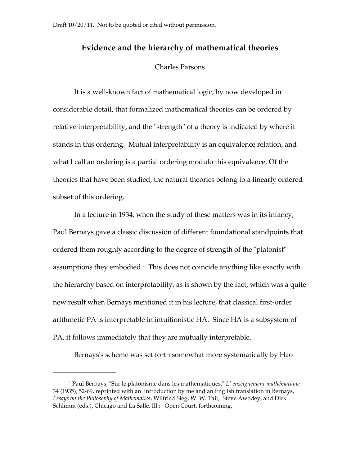# **Evidence and the hierarchy of mathematical theories**

## Charles Parsons

It is a well-known fact of mathematical logic, by now developed in considerable detail, that formalized mathematical theories can be ordered by relative interpretability, and the "strength" of a theory is indicated by where it stands in this ordering. Mutual interpretability is an equivalence relation, and what I call an ordering is a partial ordering modulo this equivalence. Of the theories that have been studied, the natural theories belong to a linearly ordered subset of this ordering.

In a lecture in 1934, when the study of these matters was in its infancy, Paul Bernays gave a classic discussion of different foundational standpoints that ordered them roughly according to the degree of strength of the "platonist" assumptions they embodied. $^1$  $^1$  This does not coincide anything like exactly with the hierarchy based on interpretability, as is shown by the fact, which was a quite new result when Bernays mentioned it in his lecture, that classical first-order arithmetic PA is interpretable in intuitionistic HA. Since HA is a subsystem of PA, it follows immediately that they are mutually interpretable.

Bernays's scheme was set forth somewhat more systematically by Hao

<span id="page-0-0"></span><sup>1</sup> Paul Bernays, "Sur le platonisme dans les mathématiques," *L' enseignement mathématique* 34 (1935), 52-69, reprinted with an introduction by me and an English translation in Bernays, *Essays on the Philosophy of Mathematics*, Wilfried Sieg, W. W. Tait, Steve Awodey, and Dirk Schlimm (eds.), Chicago and La Salle, Ill.: Open Court, forthcoming.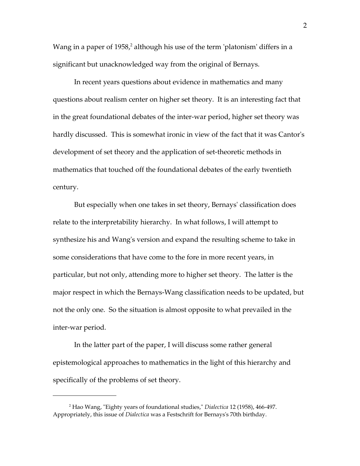Wang in a paper of 1958, $^2$  $^2$  although his use of the term 'platonism' differs in a significant but unacknowledged way from the original of Bernays.

In recent years questions about evidence in mathematics and many questions about realism center on higher set theory. It is an interesting fact that in the great foundational debates of the inter-war period, higher set theory was hardly discussed. This is somewhat ironic in view of the fact that it was Cantor's development of set theory and the application of set-theoretic methods in mathematics that touched off the foundational debates of the early twentieth century.

But especially when one takes in set theory, Bernays' classification does relate to the interpretability hierarchy. In what follows, I will attempt to synthesize his and Wang's version and expand the resulting scheme to take in some considerations that have come to the fore in more recent years, in particular, but not only, attending more to higher set theory. The latter is the major respect in which the Bernays-Wang classification needs to be updated, but not the only one. So the situation is almost opposite to what prevailed in the inter-war period.

In the latter part of the paper, I will discuss some rather general epistemological approaches to mathematics in the light of this hierarchy and specifically of the problems of set theory.

<span id="page-1-0"></span><sup>2</sup> Hao Wang, "Eighty years of foundational studies," *Dialectica* 12 (1958), 466-497. Appropriately, this issue of *Dialectica* was a Festschrift for Bernays's 70th birthday.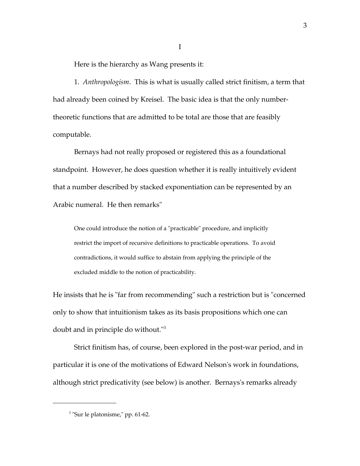Here is the hierarchy as Wang presents it:

1. *Anthropologism*. This is what is usually called strict finitism, a term that had already been coined by Kreisel. The basic idea is that the only numbertheoretic functions that are admitted to be total are those that are feasibly computable.

I

Bernays had not really proposed or registered this as a foundational standpoint. However, he does question whether it is really intuitively evident that a number described by stacked exponentiation can be represented by an Arabic numeral. He then remarks"

One could introduce the notion of a "practicable" procedure, and implicitly restrict the import of recursive definitions to practicable operations. To avoid contradictions, it would suffice to abstain from applying the principle of the excluded middle to the notion of practicability.

He insists that he is "far from recommending" such a restriction but is "concerned only to show that intuitionism takes as its basis propositions which one can doubt and in principle do without."[3](#page-2-0)

Strict finitism has, of course, been explored in the post-war period, and in particular it is one of the motivations of Edward Nelson's work in foundations, although strict predicativity (see below) is another. Bernays's remarks already

<span id="page-2-0"></span><sup>&</sup>lt;sup>3</sup> "Sur le platonisme," pp. 61-62.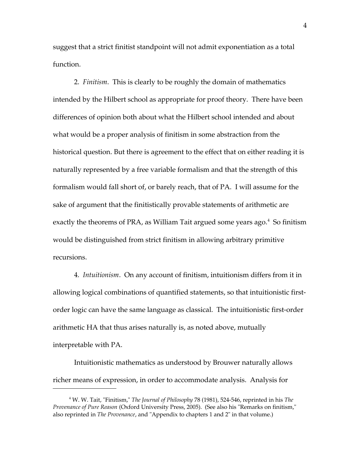suggest that a strict finitist standpoint will not admit exponentiation as a total function.

2. *Finitism*. This is clearly to be roughly the domain of mathematics intended by the Hilbert school as appropriate for proof theory. There have been differences of opinion both about what the Hilbert school intended and about what would be a proper analysis of finitism in some abstraction from the historical question. But there is agreement to the effect that on either reading it is naturally represented by a free variable formalism and that the strength of this formalism would fall short of, or barely reach, that of PA. I will assume for the sake of argument that the finitistically provable statements of arithmetic are exactly the theorems of PRA, as William Tait argued some years ago.<sup>[4](#page-3-0)</sup> So finitism would be distinguished from strict finitism in allowing arbitrary primitive recursions.

4. *Intuitionism*. On any account of finitism, intuitionism differs from it in allowing logical combinations of quantified statements, so that intuitionistic firstorder logic can have the same language as classical. The intuitionistic first-order arithmetic HA that thus arises naturally is, as noted above, mutually interpretable with PA.

Intuitionistic mathematics as understood by Brouwer naturally allows richer means of expression, in order to accommodate analysis. Analysis for

<span id="page-3-0"></span><sup>4</sup> W. W. Tait, "Finitism," *The Journal of Philosophy* 78 (1981), 524-546, reprinted in his *The Provenance of Pure Reason* (Oxford University Press, 2005). (See also his "Remarks on finitism," also reprinted in *The Provenance*, and "Appendix to chapters 1 and 2" in that volume.)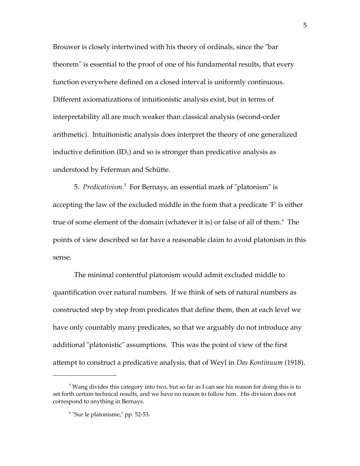Brouwer is closely intertwined with his theory of ordinals, since the "bar theorem" is essential to the proof of one of his fundamental results, that every function everywhere defined on a closed interval is uniformly continuous. Different axiomatizations of intuitionistic analysis exist, but in terms of interpretability all are much weaker than classical analysis (second-order arithmetic). Intuitionistic analysis does interpret the theory of one generalized inductive definition  $(ID<sub>1</sub>)$  and so is stronger than predicative analysis as understood by Feferman and Schütte.

[5](#page-4-0). Predicativism.<sup>5</sup> For Bernays, an essential mark of "platonism" is accepting the law of the excluded middle in the form that a predicate 'F' is either true of some element of the domain (whatever it is) or false of all of them.<sup>[6](#page-4-1)</sup> The points of view described so far have a reasonable claim to avoid platonism in this sense.

The minimal contentful platonism would admit excluded middle to quantification over natural numbers. If we think of sets of natural numbers as constructed step by step from predicates that define them, then at each level we have only countably many predicates, so that we arguably do not introduce any additional "platonistic" assumptions. This was the point of view of the first attempt to construct a predicative analysis, that of Weyl in *Das Kontinuum* (1918).

<span id="page-4-0"></span> $5$  Wang divides this category into two, but so far as I can see his reason for doing this is to set forth certain technical results, and we have no reason to follow him. His division does not correspond to anything in Bernays.

<span id="page-4-1"></span><sup>6</sup> "Sur le platonisme," pp. 52-53.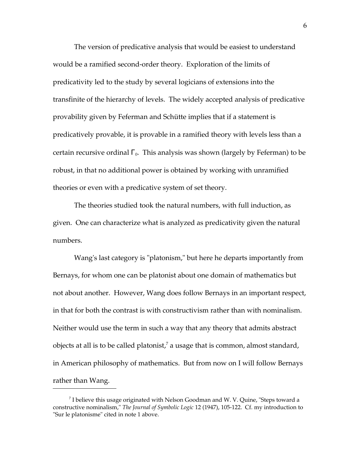The version of predicative analysis that would be easiest to understand would be a ramified second-order theory. Exploration of the limits of predicativity led to the study by several logicians of extensions into the transfinite of the hierarchy of levels. The widely accepted analysis of predicative provability given by Feferman and Schütte implies that if a statement is predicatively provable, it is provable in a ramified theory with levels less than a certain recursive ordinal  $\Gamma_0$ . This analysis was shown (largely by Feferman) to be robust, in that no additional power is obtained by working with unramified theories or even with a predicative system of set theory.

The theories studied took the natural numbers, with full induction, as given. One can characterize what is analyzed as predicativity given the natural numbers.

Wang's last category is "platonism," but here he departs importantly from Bernays, for whom one can be platonist about one domain of mathematics but not about another. However, Wang does follow Bernays in an important respect, in that for both the contrast is with constructivism rather than with nominalism. Neither would use the term in such a way that any theory that admits abstract objects at all is to be called platonist,<sup>[7](#page-5-0)</sup> a usage that is common, almost standard, in American philosophy of mathematics. But from now on I will follow Bernays rather than Wang.

<span id="page-5-0"></span> $^7$  I believe this usage originated with Nelson Goodman and W. V. Quine, "Steps toward a constructive nominalism," *The Journal of Symbolic Logic* 12 (1947), 105-122. Cf. my introduction to "Sur le platonisme" cited in note 1 above.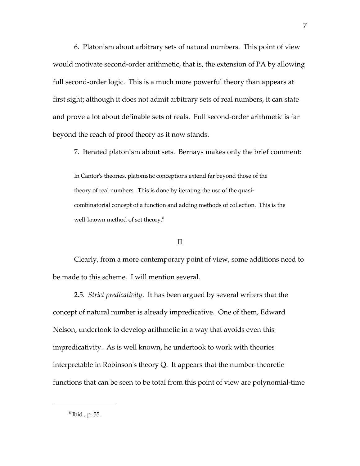6. Platonism about arbitrary sets of natural numbers. This point of view would motivate second-order arithmetic, that is, the extension of PA by allowing full second-order logic. This is a much more powerful theory than appears at first sight; although it does not admit arbitrary sets of real numbers, it can state and prove a lot about definable sets of reals. Full second-order arithmetic is far beyond the reach of proof theory as it now stands.

7. Iterated platonism about sets. Bernays makes only the brief comment:

In Cantor's theories, platonistic conceptions extend far beyond those of the theory of real numbers. This is done by iterating the use of the quasicombinatorial concept of a function and adding methods of collection. This is the well-known method of set theory.<sup>[8](#page-6-0)</sup>

## II

Clearly, from a more contemporary point of view, some additions need to be made to this scheme. I will mention several.

2.5. *Strict predicativity*. It has been argued by several writers that the concept of natural number is already impredicative. One of them, Edward Nelson, undertook to develop arithmetic in a way that avoids even this impredicativity. As is well known, he undertook to work with theories interpretable in Robinson's theory Q. It appears that the number-theoretic functions that can be seen to be total from this point of view are polynomial-time

<span id="page-6-0"></span><sup>8</sup> Ibid., p. 55.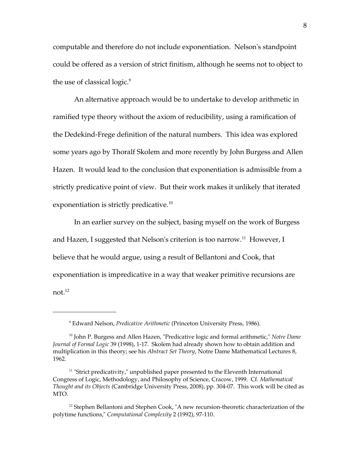computable and therefore do not include exponentiation. Nelson's standpoint could be offered as a version of strict finitism, although he seems not to object to the use of classical logic.<sup>[9](#page-7-0)</sup>

An alternative approach would be to undertake to develop arithmetic in ramified type theory without the axiom of reducibility, using a ramification of the Dedekind-Frege definition of the natural numbers. This idea was explored some years ago by Thoralf Skolem and more recently by John Burgess and Allen Hazen. It would lead to the conclusion that exponentiation is admissible from a strictly predicative point of view. But their work makes it unlikely that iterated exponentiation is strictly predicative.<sup>[10](#page-7-1)</sup>

In an earlier survey on the subject, basing myself on the work of Burgess and Hazen, I suggested that Nelson's criterion is too narrow.<sup>[11](#page-7-2)</sup> However, I believe that he would argue, using a result of Bellantoni and Cook, that exponentiation is impredicative in a way that weaker primitive recursions are not.[12](#page-7-3)

<span id="page-7-1"></span><span id="page-7-0"></span><sup>9</sup> Edward Nelson, *Predicative Arithmetic* (Princeton University Press, 1986).

<sup>10</sup> John P. Burgess and Allen Hazen, "Predicative logic and formal arithmetic," *Notre Dame Journal of Formal Logic* 39 (1998), 1-17. Skolem had already shown how to obtain addition and multiplication in this theory; see his *Abstract Set Theory*, Notre Dame Mathematical Lectures 8, 1962.

<span id="page-7-2"></span><sup>&</sup>lt;sup>11</sup> "Strict predicativity," unpublished paper presented to the Eleventh International Congress of Logic, Methodology, and Philosophy of Science, Cracow, 1999. Cf. *Mathematical Thought and its Objects* (Cambridge University Press, 2008), pp. 304-07. This work will be cited as MTO.

<span id="page-7-3"></span> $12$  Stephen Bellantoni and Stephen Cook, "A new recursion-theoretic characterization of the polytime functions," *Computational Complexity* 2 (1992), 97-110.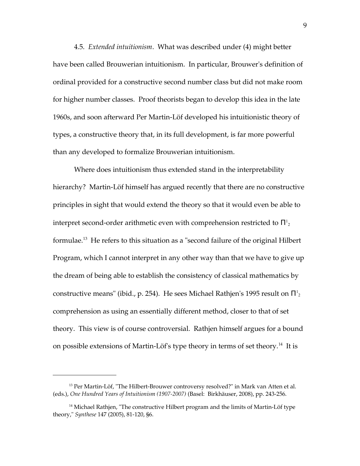4.5. *Extended intuitionism*. What was described under (4) might better have been called Brouwerian intuitionism. In particular, Brouwer's definition of ordinal provided for a constructive second number class but did not make room for higher number classes. Proof theorists began to develop this idea in the late 1960s, and soon afterward Per Martin-Löf developed his intuitionistic theory of types, a constructive theory that, in its full development, is far more powerful than any developed to formalize Brouwerian intuitionism.

Where does intuitionism thus extended stand in the interpretability hierarchy? Martin-Löf himself has argued recently that there are no constructive principles in sight that would extend the theory so that it would even be able to interpret second-order arithmetic even with comprehension restricted to  $\Pi^{\text{I}}_{\text{2}}$ formulae.[13](#page-8-0) He refers to this situation as a "second failure of the original Hilbert Program, which I cannot interpret in any other way than that we have to give up the dream of being able to establish the consistency of classical mathematics by constructive means" (ibid., p. 254). He sees Michael Rathjen's 1995 result on  $\Pi^{\rm l}_{\rm 2}$ comprehension as using an essentially different method, closer to that of set theory. This view is of course controversial. Rathjen himself argues for a bound on possible extensions of Martin-Löf's type theory in terms of set theory.<sup>[14](#page-8-1)</sup> It is

<span id="page-8-0"></span> $13$  Per Martin-Löf, "The Hilbert-Brouwer controversy resolved?" in Mark van Atten et al. (eds.), *One Hundred Years of Intuitionism (1907-2007)* (Basel: Birkhäuser, 2008), pp. 243-256.

<span id="page-8-1"></span> $14$  Michael Rathjen, "The constructive Hilbert program and the limits of Martin-Löf type theory," *Synthese* 147 (2005), 81-120, §6.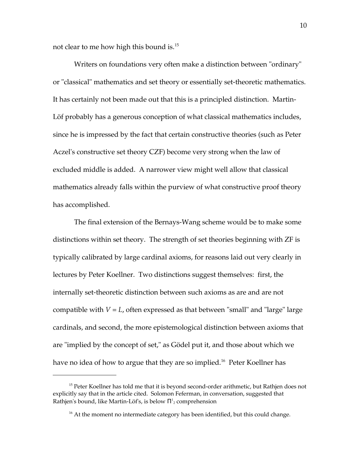not clear to me how high this bound is.[15](#page-9-0)

Writers on foundations very often make a distinction between "ordinary" or "classical" mathematics and set theory or essentially set-theoretic mathematics. It has certainly not been made out that this is a principled distinction. Martin-Löf probably has a generous conception of what classical mathematics includes, since he is impressed by the fact that certain constructive theories (such as Peter Aczel's constructive set theory CZF) become very strong when the law of excluded middle is added. A narrower view might well allow that classical mathematics already falls within the purview of what constructive proof theory has accomplished.

The final extension of the Bernays-Wang scheme would be to make some distinctions within set theory. The strength of set theories beginning with ZF is typically calibrated by large cardinal axioms, for reasons laid out very clearly in lectures by Peter Koellner. Two distinctions suggest themselves: first, the internally set-theoretic distinction between such axioms as are and are not compatible with *V* = *L*, often expressed as that between "small" and "large" large cardinals, and second, the more epistemological distinction between axioms that are "implied by the concept of set," as Gödel put it, and those about which we have no idea of how to argue that they are so implied.<sup>[16](#page-9-1)</sup> Peter Koellner has

<span id="page-9-0"></span><sup>&</sup>lt;sup>15</sup> Peter Koellner has told me that it is beyond second-order arithmetic, but Rathjen does not explicitly say that in the article cited. Solomon Feferman, in conversation, suggested that Rathjen's bound, like Martin-Löf's, is below  $\Pi^1_2$  comprehension

<span id="page-9-1"></span> $16$  At the moment no intermediate category has been identified, but this could change.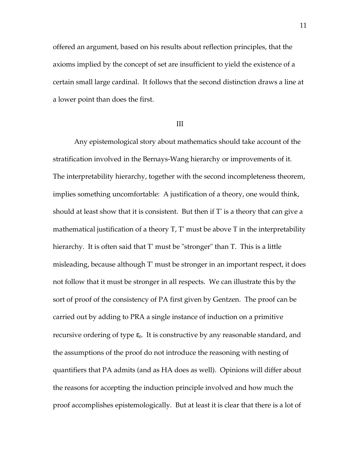offered an argument, based on his results about reflection principles, that the axioms implied by the concept of set are insufficient to yield the existence of a certain small large cardinal. It follows that the second distinction draws a line at a lower point than does the first.

### III

Any epistemological story about mathematics should take account of the stratification involved in the Bernays-Wang hierarchy or improvements of it. The interpretability hierarchy, together with the second incompleteness theorem, implies something uncomfortable: A justification of a theory, one would think, should at least show that it is consistent. But then if T' is a theory that can give a mathematical justification of a theory T, T' must be above T in the interpretability hierarchy. It is often said that T' must be "stronger" than T. This is a little misleading, because although T' must be stronger in an important respect, it does not follow that it must be stronger in all respects. We can illustrate this by the sort of proof of the consistency of PA first given by Gentzen. The proof can be carried out by adding to PRA a single instance of induction on a primitive recursive ordering of type  $\varepsilon_0$ . It is constructive by any reasonable standard, and the assumptions of the proof do not introduce the reasoning with nesting of quantifiers that PA admits (and as HA does as well). Opinions will differ about the reasons for accepting the induction principle involved and how much the proof accomplishes epistemologically. But at least it is clear that there is a lot of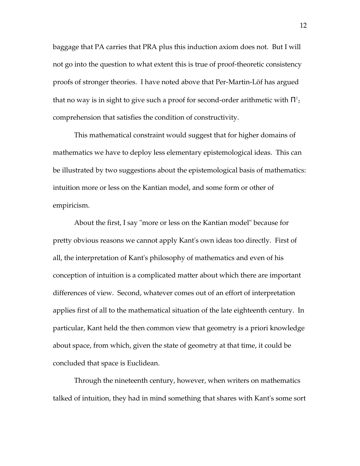baggage that PA carries that PRA plus this induction axiom does not. But I will not go into the question to what extent this is true of proof-theoretic consistency proofs of stronger theories. I have noted above that Per-Martin-Löf has argued that no way is in sight to give such a proof for second-order arithmetic with  $\Pi^1{}_2$ comprehension that satisfies the condition of constructivity.

This mathematical constraint would suggest that for higher domains of mathematics we have to deploy less elementary epistemological ideas. This can be illustrated by two suggestions about the epistemological basis of mathematics: intuition more or less on the Kantian model, and some form or other of empiricism.

About the first, I say "more or less on the Kantian model" because for pretty obvious reasons we cannot apply Kant's own ideas too directly. First of all, the interpretation of Kant's philosophy of mathematics and even of his conception of intuition is a complicated matter about which there are important differences of view. Second, whatever comes out of an effort of interpretation applies first of all to the mathematical situation of the late eighteenth century. In particular, Kant held the then common view that geometry is a priori knowledge about space, from which, given the state of geometry at that time, it could be concluded that space is Euclidean.

Through the nineteenth century, however, when writers on mathematics talked of intuition, they had in mind something that shares with Kant's some sort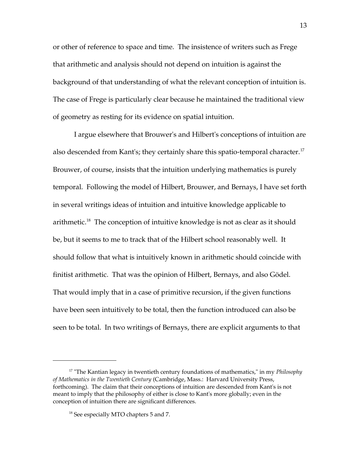or other of reference to space and time. The insistence of writers such as Frege that arithmetic and analysis should not depend on intuition is against the background of that understanding of what the relevant conception of intuition is. The case of Frege is particularly clear because he maintained the traditional view of geometry as resting for its evidence on spatial intuition.

I argue elsewhere that Brouwer's and Hilbert's conceptions of intuition are also descended from Kant's; they certainly share this spatio-temporal character.<sup>[17](#page-12-0)</sup> Brouwer, of course, insists that the intuition underlying mathematics is purely temporal. Following the model of Hilbert, Brouwer, and Bernays, I have set forth in several writings ideas of intuition and intuitive knowledge applicable to arithmetic.<sup>[18](#page-12-1)</sup> The conception of intuitive knowledge is not as clear as it should be, but it seems to me to track that of the Hilbert school reasonably well. It should follow that what is intuitively known in arithmetic should coincide with finitist arithmetic. That was the opinion of Hilbert, Bernays, and also Gödel. That would imply that in a case of primitive recursion, if the given functions have been seen intuitively to be total, then the function introduced can also be seen to be total. In two writings of Bernays, there are explicit arguments to that

<span id="page-12-0"></span><sup>17</sup> "The Kantian legacy in twentieth century foundations of mathematics," in my *Philosophy of Mathematics in the Twentieth Century* (Cambridge, Mass.: Harvard University Press, forthcoming). The claim that their conceptions of intuition are descended from Kant's is not meant to imply that the philosophy of either is close to Kant's more globally; even in the conception of intuition there are significant differences.

<span id="page-12-1"></span><sup>&</sup>lt;sup>18</sup> See especially MTO chapters 5 and 7.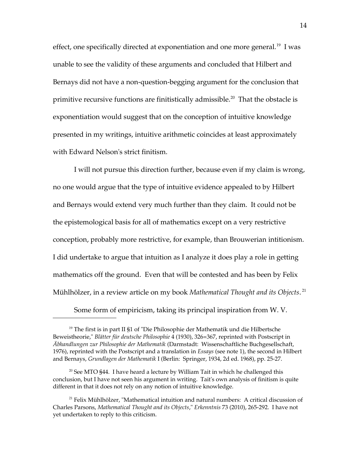effect, one specifically directed at exponentiation and one more general.<sup>[19](#page-13-0)</sup> I was unable to see the validity of these arguments and concluded that Hilbert and Bernays did not have a non-question-begging argument for the conclusion that primitive recursive functions are finitistically admissible.<sup>[20](#page-13-1)</sup> That the obstacle is exponentiation would suggest that on the conception of intuitive knowledge presented in my writings, intuitive arithmetic coincides at least approximately with Edward Nelson's strict finitism.

I will not pursue this direction further, because even if my claim is wrong, no one would argue that the type of intuitive evidence appealed to by Hilbert and Bernays would extend very much further than they claim. It could not be the epistemological basis for all of mathematics except on a very restrictive conception, probably more restrictive, for example, than Brouwerian intitionism. I did undertake to argue that intuition as I analyze it does play a role in getting mathematics off the ground. Even that will be contested and has been by Felix Mühlhölzer, in a review article on my book *Mathematical Thought and its Objects*. [21](#page-13-2)

<span id="page-13-0"></span>Some form of empiricism, taking its principal inspiration from W. V.

<sup>&</sup>lt;sup>19</sup> The first is in part II §1 of "Die Philosophie der Mathematik und die Hilbertsche Beweistheorie," *Blätter für deutsche Philosophie* 4 (1930), 326=367, reprinted with Postscript in *Äbhandlungen zur Philosophie der Mathematik* (Darmstadt: Wissenschaftliche Buchgesellschaft, 1976), reprinted with the Postscript and a translation in *Essays* (see note 1), the second in Hilbert and Bernays, *Grundlagen der Mathematik* I (Berlin: Springer, 1934, 2d ed. 1968), pp. 25-27.

<span id="page-13-1"></span> $20$  See MTO §44. I have heard a lecture by William Tait in which he challenged this conclusion, but I have not seen his argument in writing. Tait's own analysis of finitism is quite different in that it does not rely on any notion of intuitive knowledge.

<span id="page-13-2"></span> $21$  Felix Mühlhölzer, "Mathematical intuition and natural numbers: A critical discussion of Charles Parsons, *Mathematical Thought and its Objects*," *Erkenntnis* 73 (2010), 265-292. I have not yet undertaken to reply to this criticism.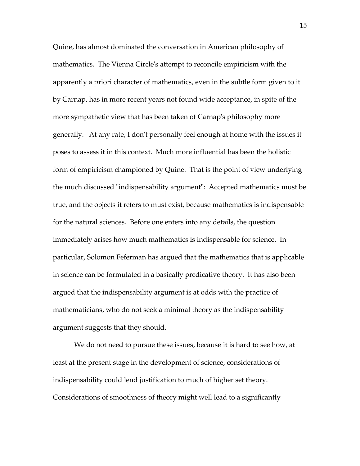Quine, has almost dominated the conversation in American philosophy of mathematics. The Vienna Circle's attempt to reconcile empiricism with the apparently a priori character of mathematics, even in the subtle form given to it by Carnap, has in more recent years not found wide acceptance, in spite of the more sympathetic view that has been taken of Carnap's philosophy more generally. At any rate, I don't personally feel enough at home with the issues it poses to assess it in this context. Much more influential has been the holistic form of empiricism championed by Quine. That is the point of view underlying the much discussed "indispensability argument": Accepted mathematics must be true, and the objects it refers to must exist, because mathematics is indispensable for the natural sciences. Before one enters into any details, the question immediately arises how much mathematics is indispensable for science. In particular, Solomon Feferman has argued that the mathematics that is applicable in science can be formulated in a basically predicative theory. It has also been argued that the indispensability argument is at odds with the practice of mathematicians, who do not seek a minimal theory as the indispensability argument suggests that they should.

We do not need to pursue these issues, because it is hard to see how, at least at the present stage in the development of science, considerations of indispensability could lend justification to much of higher set theory. Considerations of smoothness of theory might well lead to a significantly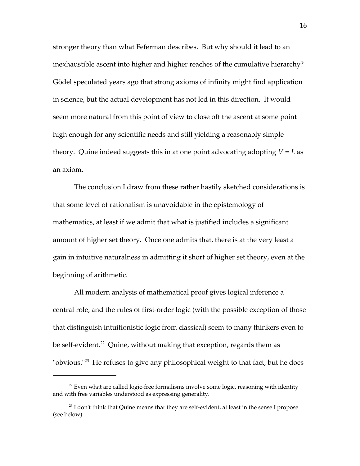stronger theory than what Feferman describes. But why should it lead to an inexhaustible ascent into higher and higher reaches of the cumulative hierarchy? Gödel speculated years ago that strong axioms of infinity might find application in science, but the actual development has not led in this direction. It would seem more natural from this point of view to close off the ascent at some point high enough for any scientific needs and still yielding a reasonably simple theory. Quine indeed suggests this in at one point advocating adopting  $V = L$  as an axiom.

The conclusion I draw from these rather hastily sketched considerations is that some level of rationalism is unavoidable in the epistemology of mathematics, at least if we admit that what is justified includes a significant amount of higher set theory. Once one admits that, there is at the very least a gain in intuitive naturalness in admitting it short of higher set theory, even at the beginning of arithmetic.

All modern analysis of mathematical proof gives logical inference a central role, and the rules of first-order logic (with the possible exception of those that distinguish intuitionistic logic from classical) seem to many thinkers even to be self-evident.<sup>[22](#page-15-0)</sup> Quine, without making that exception, regards them as "obvious."<sup>[23](#page-15-1)</sup> He refuses to give any philosophical weight to that fact, but he does

<span id="page-15-0"></span> $22$  Even what are called logic-free formalisms involve some logic, reasoning with identity and with free variables understood as expressing generality.

<span id="page-15-1"></span> $^{23}$  I don't think that Quine means that they are self-evident, at least in the sense I propose (see below).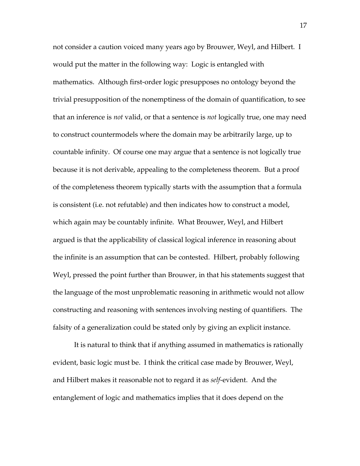not consider a caution voiced many years ago by Brouwer, Weyl, and Hilbert. I would put the matter in the following way: Logic is entangled with mathematics. Although first-order logic presupposes no ontology beyond the trivial presupposition of the nonemptiness of the domain of quantification, to see that an inference is *not* valid, or that a sentence is *not* logically true, one may need to construct countermodels where the domain may be arbitrarily large, up to countable infinity. Of course one may argue that a sentence is not logically true because it is not derivable, appealing to the completeness theorem. But a proof of the completeness theorem typically starts with the assumption that a formula is consistent (i.e. not refutable) and then indicates how to construct a model, which again may be countably infinite. What Brouwer, Weyl, and Hilbert argued is that the applicability of classical logical inference in reasoning about the infinite is an assumption that can be contested. Hilbert, probably following Weyl, pressed the point further than Brouwer, in that his statements suggest that the language of the most unproblematic reasoning in arithmetic would not allow constructing and reasoning with sentences involving nesting of quantifiers. The falsity of a generalization could be stated only by giving an explicit instance.

It is natural to think that if anything assumed in mathematics is rationally evident, basic logic must be. I think the critical case made by Brouwer, Weyl, and Hilbert makes it reasonable not to regard it as *self*-evident. And the entanglement of logic and mathematics implies that it does depend on the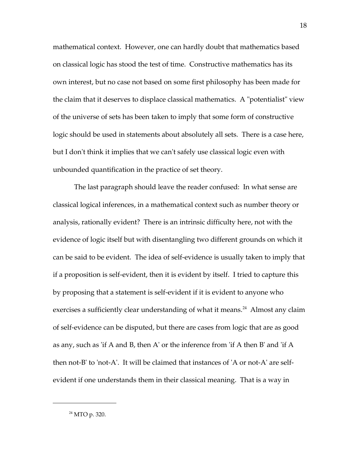mathematical context. However, one can hardly doubt that mathematics based on classical logic has stood the test of time. Constructive mathematics has its own interest, but no case not based on some first philosophy has been made for the claim that it deserves to displace classical mathematics. A "potentialist" view of the universe of sets has been taken to imply that some form of constructive logic should be used in statements about absolutely all sets. There is a case here, but I don't think it implies that we can't safely use classical logic even with unbounded quantification in the practice of set theory.

The last paragraph should leave the reader confused: In what sense are classical logical inferences, in a mathematical context such as number theory or analysis, rationally evident? There is an intrinsic difficulty here, not with the evidence of logic itself but with disentangling two different grounds on which it can be said to be evident. The idea of self-evidence is usually taken to imply that if a proposition is self-evident, then it is evident by itself. I tried to capture this by proposing that a statement is self-evident if it is evident to anyone who exercises a sufficiently clear understanding of what it means.<sup>[24](#page-17-0)</sup> Almost any claim of self-evidence can be disputed, but there are cases from logic that are as good as any, such as 'if A and B, then A' or the inference from 'if A then B' and 'if A then not-B' to 'not-A'. It will be claimed that instances of 'A or not-A' are selfevident if one understands them in their classical meaning. That is a way in

<span id="page-17-0"></span>24 MTO p. 320.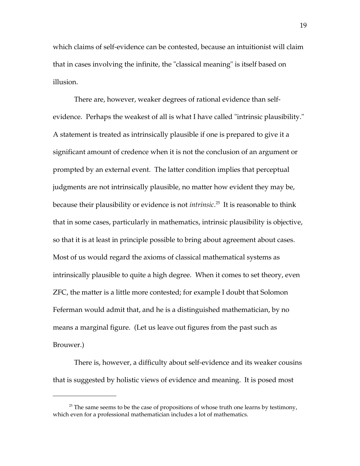which claims of self-evidence can be contested, because an intuitionist will claim that in cases involving the infinite, the "classical meaning" is itself based on illusion.

There are, however, weaker degrees of rational evidence than selfevidence. Perhaps the weakest of all is what I have called "intrinsic plausibility." A statement is treated as intrinsically plausible if one is prepared to give it a significant amount of credence when it is not the conclusion of an argument or prompted by an external event. The latter condition implies that perceptual judgments are not intrinsically plausible, no matter how evident they may be, because their plausibility or evidence is not *intrinsic*. [25](#page-18-0) It is reasonable to think that in some cases, particularly in mathematics, intrinsic plausibility is objective, so that it is at least in principle possible to bring about agreement about cases. Most of us would regard the axioms of classical mathematical systems as intrinsically plausible to quite a high degree. When it comes to set theory, even ZFC, the matter is a little more contested; for example I doubt that Solomon Feferman would admit that, and he is a distinguished mathematician, by no means a marginal figure. (Let us leave out figures from the past such as Brouwer.)

There is, however, a difficulty about self-evidence and its weaker cousins that is suggested by holistic views of evidence and meaning. It is posed most

<span id="page-18-0"></span> $25$  The same seems to be the case of propositions of whose truth one learns by testimony, which even for a professional mathematician includes a lot of mathematics.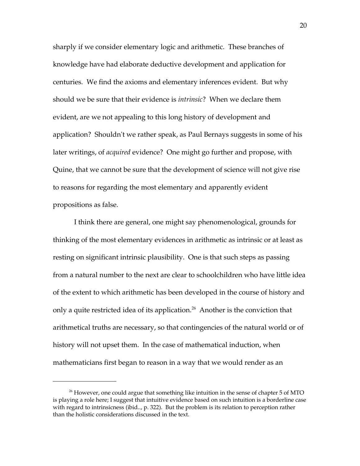sharply if we consider elementary logic and arithmetic. These branches of knowledge have had elaborate deductive development and application for centuries. We find the axioms and elementary inferences evident. But why should we be sure that their evidence is *intrinsic*? When we declare them evident, are we not appealing to this long history of development and application? Shouldn't we rather speak, as Paul Bernays suggests in some of his later writings, of *acquired* evidence? One might go further and propose, with Quine, that we cannot be sure that the development of science will not give rise to reasons for regarding the most elementary and apparently evident propositions as false.

I think there are general, one might say phenomenological, grounds for thinking of the most elementary evidences in arithmetic as intrinsic or at least as resting on significant intrinsic plausibility. One is that such steps as passing from a natural number to the next are clear to schoolchildren who have little idea of the extent to which arithmetic has been developed in the course of history and only a quite restricted idea of its application.<sup>[26](#page-19-0)</sup> Another is the conviction that arithmetical truths are necessary, so that contingencies of the natural world or of history will not upset them. In the case of mathematical induction, when mathematicians first began to reason in a way that we would render as an

<span id="page-19-0"></span> $26$  However, one could argue that something like intuition in the sense of chapter  $5$  of MTO is playing a role here; I suggest that intuitive evidence based on such intuition is a borderline case with regard to intrinsicness (ibid.., p. 322). But the problem is its relation to perception rather than the holistic considerations discussed in the text.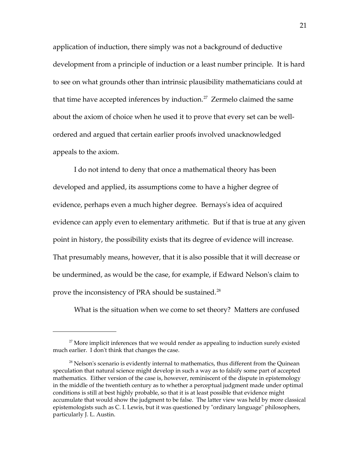application of induction, there simply was not a background of deductive development from a principle of induction or a least number principle. It is hard to see on what grounds other than intrinsic plausibility mathematicians could at that time have accepted inferences by induction.<sup>[27](#page-20-0)</sup> Zermelo claimed the same about the axiom of choice when he used it to prove that every set can be wellordered and argued that certain earlier proofs involved unacknowledged appeals to the axiom.

I do not intend to deny that once a mathematical theory has been developed and applied, its assumptions come to have a higher degree of evidence, perhaps even a much higher degree. Bernays's idea of acquired evidence can apply even to elementary arithmetic. But if that is true at any given point in history, the possibility exists that its degree of evidence will increase. That presumably means, however, that it is also possible that it will decrease or be undermined, as would be the case, for example, if Edward Nelson's claim to prove the inconsistency of PRA should be sustained.<sup>[28](#page-20-1)</sup>

What is the situation when we come to set theory? Matters are confused

<span id="page-20-0"></span> $27$  More implicit inferences that we would render as appealing to induction surely existed much earlier. I don't think that changes the case.

<span id="page-20-1"></span> $28$  Nelson's scenario is evidently internal to mathematics, thus different from the Quinean speculation that natural science might develop in such a way as to falsify some part of accepted mathematics. Either version of the case is, however, reminiscent of the dispute in epistemology in the middle of the twentieth century as to whether a perceptual judgment made under optimal conditions is still at best highly probable, so that it is at least possible that evidence might accumulate that would show the judgment to be false. The latter view was held by more classical epistemologists such as C. I. Lewis, but it was questioned by "ordinary language" philosophers, particularly J. L. Austin.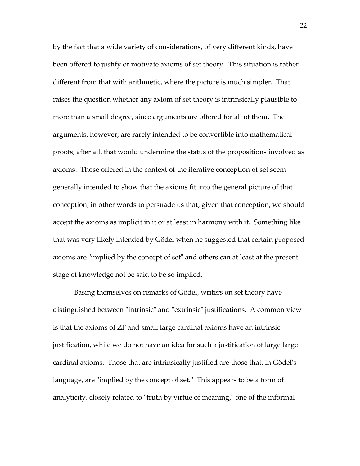by the fact that a wide variety of considerations, of very different kinds, have been offered to justify or motivate axioms of set theory. This situation is rather different from that with arithmetic, where the picture is much simpler. That raises the question whether any axiom of set theory is intrinsically plausible to more than a small degree, since arguments are offered for all of them. The arguments, however, are rarely intended to be convertible into mathematical proofs; after all, that would undermine the status of the propositions involved as axioms. Those offered in the context of the iterative conception of set seem generally intended to show that the axioms fit into the general picture of that conception, in other words to persuade us that, given that conception, we should accept the axioms as implicit in it or at least in harmony with it. Something like that was very likely intended by Gödel when he suggested that certain proposed axioms are "implied by the concept of set" and others can at least at the present stage of knowledge not be said to be so implied.

Basing themselves on remarks of Gödel, writers on set theory have distinguished between "intrinsic" and "extrinsic" justifications. A common view is that the axioms of ZF and small large cardinal axioms have an intrinsic justification, while we do not have an idea for such a justification of large large cardinal axioms. Those that are intrinsically justified are those that, in Gödel's language, are "implied by the concept of set." This appears to be a form of analyticity, closely related to "truth by virtue of meaning," one of the informal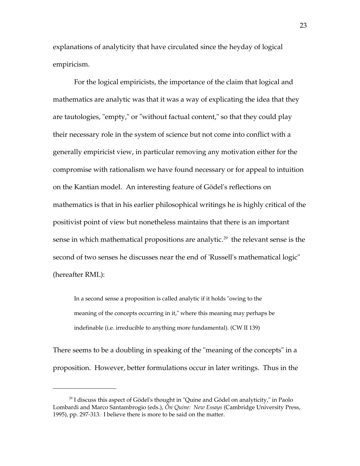explanations of analyticity that have circulated since the heyday of logical empiricism.

For the logical empiricists, the importance of the claim that logical and mathematics are analytic was that it was a way of explicating the idea that they are tautologies, "empty," or "without factual content," so that they could play their necessary role in the system of science but not come into conflict with a generally empiricist view, in particular removing any motivation either for the compromise with rationalism we have found necessary or for appeal to intuition on the Kantian model. An interesting feature of Gödel's reflections on mathematics is that in his earlier philosophical writings he is highly critical of the positivist point of view but nonetheless maintains that there is an important sense in which mathematical propositions are analytic.<sup>[29](#page-22-0)</sup> the relevant sense is the second of two senses he discusses near the end of 'Russell's mathematical logic" (hereafter RML):

In a second sense a proposition is called analytic if it holds "owing to the meaning of the concepts occurring in it," where this meaning may perhaps be indefinable (i.e. irreducible to anything more fundamental). (CW II 139)

There seems to be a doubling in speaking of the "meaning of the concepts" in a proposition. However, better formulations occur in later writings. Thus in the

<span id="page-22-0"></span> $29$  I discuss this aspect of Gödel's thought in "Quine and Gödel on analyticity," in Paolo Lombardi and Marco Santambrogio (eds.), *Ôn Quine: New Essays* (Cambridge University Press, 1995), pp. 297-313. I believe there is more to be said on the matter.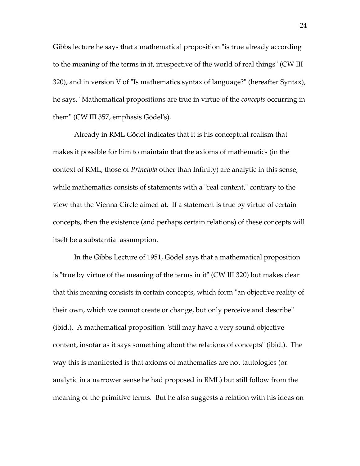Gibbs lecture he says that a mathematical proposition "is true already according to the meaning of the terms in it, irrespective of the world of real things" (CW III 320), and in version V of "Is mathematics syntax of language?" (hereafter Syntax), he says, "Mathematical propositions are true in virtue of the *concepts* occurring in them" (CW III 357, emphasis Gödel's).

Already in RML Gödel indicates that it is his conceptual realism that makes it possible for him to maintain that the axioms of mathematics (in the context of RML, those of *Principia* other than Infinity) are analytic in this sense, while mathematics consists of statements with a "real content," contrary to the view that the Vienna Circle aimed at. If a statement is true by virtue of certain concepts, then the existence (and perhaps certain relations) of these concepts will itself be a substantial assumption.

In the Gibbs Lecture of 1951, Gödel says that a mathematical proposition is "true by virtue of the meaning of the terms in it" (CW III 320) but makes clear that this meaning consists in certain concepts, which form "an objective reality of their own, which we cannot create or change, but only perceive and describe" (ibid.). A mathematical proposition "still may have a very sound objective content, insofar as it says something about the relations of concepts" (ibid.). The way this is manifested is that axioms of mathematics are not tautologies (or analytic in a narrower sense he had proposed in RML) but still follow from the meaning of the primitive terms. But he also suggests a relation with his ideas on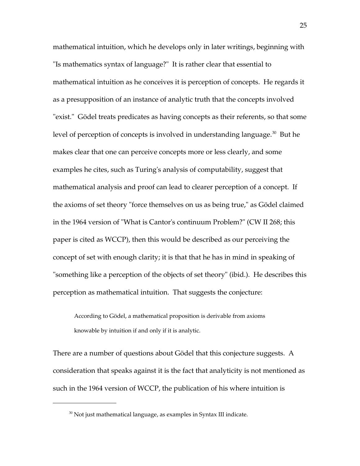mathematical intuition, which he develops only in later writings, beginning with "Is mathematics syntax of language?" It is rather clear that essential to mathematical intuition as he conceives it is perception of concepts. He regards it as a presupposition of an instance of analytic truth that the concepts involved "exist." Gödel treats predicates as having concepts as their referents, so that some level of perception of concepts is involved in understanding language.<sup>[30](#page-24-0)</sup> But he makes clear that one can perceive concepts more or less clearly, and some examples he cites, such as Turing's analysis of computability, suggest that mathematical analysis and proof can lead to clearer perception of a concept. If the axioms of set theory "force themselves on us as being true," as Gödel claimed in the 1964 version of "What is Cantor's continuum Problem?" (CW II 268; this paper is cited as WCCP), then this would be described as our perceiving the concept of set with enough clarity; it is that that he has in mind in speaking of "something like a perception of the objects of set theory" (ibid.). He describes this perception as mathematical intuition. That suggests the conjecture:

According to Gödel, a mathematical proposition is derivable from axioms knowable by intuition if and only if it is analytic.

There are a number of questions about Gödel that this conjecture suggests. A consideration that speaks against it is the fact that analyticity is not mentioned as such in the 1964 version of WCCP, the publication of his where intuition is

<span id="page-24-0"></span><sup>&</sup>lt;sup>30</sup> Not just mathematical language, as examples in Syntax III indicate.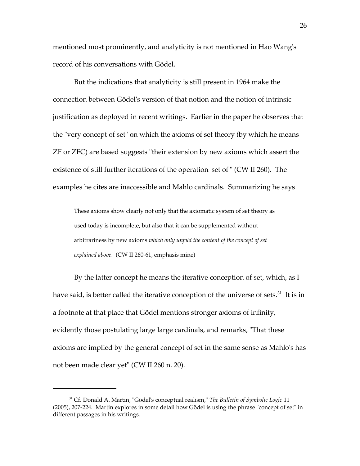mentioned most prominently, and analyticity is not mentioned in Hao Wang's record of his conversations with Gödel.

But the indications that analyticity is still present in 1964 make the connection between Gödel's version of that notion and the notion of intrinsic justification as deployed in recent writings. Earlier in the paper he observes that the "very concept of set" on which the axioms of set theory (by which he means ZF or ZFC) are based suggests "their extension by new axioms which assert the existence of still further iterations of the operation 'set of'" (CW II 260). The examples he cites are inaccessible and Mahlo cardinals. Summarizing he says

These axioms show clearly not only that the axiomatic system of set theory as used today is incomplete, but also that it can be supplemented without arbitrariness by new axioms *which only unfold the content of the concept of set explained above*. (CW II 260-61, emphasis mine)

By the latter concept he means the iterative conception of set, which, as I have said, is better called the iterative conception of the universe of sets.<sup>[31](#page-25-0)</sup> It is in a footnote at that place that Gödel mentions stronger axioms of infinity, evidently those postulating large large cardinals, and remarks, "That these axioms are implied by the general concept of set in the same sense as Mahlo's has not been made clear yet" (CW II 260 n. 20).

26

<span id="page-25-0"></span><sup>31</sup> Cf. Donald A. Martin, "Gödel's conceptual realism," *The Bulletin of Symbolic Logic* 11 (2005), 207-224. Martin explores in some detail how Gödel is using the phrase "concept of set" in different passages in his writings.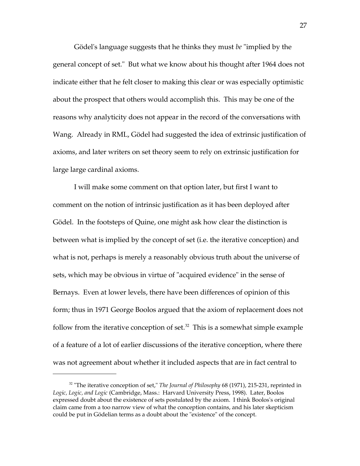Gödel's language suggests that he thinks they must *be* "implied by the general concept of set." But what we know about his thought after 1964 does not indicate either that he felt closer to making this clear or was especially optimistic about the prospect that others would accomplish this. This may be one of the reasons why analyticity does not appear in the record of the conversations with Wang. Already in RML, Gödel had suggested the idea of extrinsic justification of axioms, and later writers on set theory seem to rely on extrinsic justification for large large cardinal axioms.

I will make some comment on that option later, but first I want to comment on the notion of intrinsic justification as it has been deployed after Gödel. In the footsteps of Quine, one might ask how clear the distinction is between what is implied by the concept of set (i.e. the iterative conception) and what is not, perhaps is merely a reasonably obvious truth about the universe of sets, which may be obvious in virtue of "acquired evidence" in the sense of Bernays. Even at lower levels, there have been differences of opinion of this form; thus in 1971 George Boolos argued that the axiom of replacement does not follow from the iterative conception of set.<sup>[32](#page-26-0)</sup> This is a somewhat simple example of a feature of a lot of earlier discussions of the iterative conception, where there was not agreement about whether it included aspects that are in fact central to

<span id="page-26-0"></span><sup>&</sup>lt;sup>32</sup> "The iterative conception of set," *The Journal of Philosophy* 68 (1971), 215-231, reprinted in *Logic, Logic, and Logic* (Cambridge, Mass.: Harvard University Press, 1998). Later, Boolos expressed doubt about the existence of sets postulated by the axiom. I think Boolos's original claim came from a too narrow view of what the conception contains, and his later skepticism could be put in Gödelian terms as a doubt about the "existence" of the concept.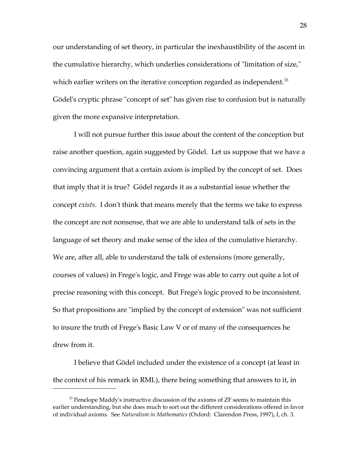our understanding of set theory, in particular the inexhaustibility of the ascent in the cumulative hierarchy, which underlies considerations of "limitation of size," which earlier writers on the iterative conception regarded as independent.<sup>[33](#page-27-0)</sup> Gödel's cryptic phrase "concept of set" has given rise to confusion but is naturally given the more expansive interpretation.

I will not pursue further this issue about the content of the conception but raise another question, again suggested by Gödel. Let us suppose that we have a convincing argument that a certain axiom is implied by the concept of set. Does that imply that it is true? Gödel regards it as a substantial issue whether the concept *exists*. I don't think that means merely that the terms we take to express the concept are not nonsense, that we are able to understand talk of sets in the language of set theory and make sense of the idea of the cumulative hierarchy. We are, after all, able to understand the talk of extensions (more generally, courses of values) in Frege's logic, and Frege was able to carry out quite a lot of precise reasoning with this concept. But Frege's logic proved to be inconsistent. So that propositions are "implied by the concept of extension" was not sufficient to insure the truth of Frege's Basic Law V or of many of the consequences he drew from it.

I believe that Gödel included under the existence of a concept (at least in the context of his remark in RML), there being something that answers to it, in

<span id="page-27-0"></span> $33$  Penelope Maddy's instructive discussion of the axioms of ZF seems to maintain this earlier understanding, but she does much to sort out the different considerations offered in favor of individual axioms. See *Naturalism in Mathematics* (Oxford: Clarendon Press, 1997), I, ch. 3.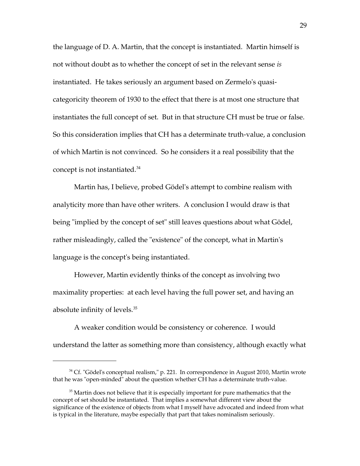the language of D. A. Martin, that the concept is instantiated. Martin himself is not without doubt as to whether the concept of set in the relevant sense *is* instantiated. He takes seriously an argument based on Zermelo's quasicategoricity theorem of 1930 to the effect that there is at most one structure that instantiates the full concept of set. But in that structure CH must be true or false. So this consideration implies that CH has a determinate truth-value, a conclusion of which Martin is not convinced. So he considers it a real possibility that the concept is not instantiated. $34$ 

Martin has, I believe, probed Gödel's attempt to combine realism with analyticity more than have other writers. A conclusion I would draw is that being "implied by the concept of set" still leaves questions about what Gödel, rather misleadingly, called the "existence" of the concept, what in Martin's language is the concept's being instantiated.

However, Martin evidently thinks of the concept as involving two maximality properties: at each level having the full power set, and having an absolute infinity of levels.[35](#page-28-1)

A weaker condition would be consistency or coherence. I would understand the latter as something more than consistency, although exactly what

<span id="page-28-0"></span><sup>&</sup>lt;sup>34</sup> Cf. "Gödel's conceptual realism," p. 221. In correspondence in August 2010, Martin wrote that he was "open-minded" about the question whether CH has a determinate truth-value.

<span id="page-28-1"></span><sup>&</sup>lt;sup>35</sup> Martin does not believe that it is especially important for pure mathematics that the concept of set should be instantiated. That implies a somewhat different view about the significance of the existence of objects from what I myself have advocated and indeed from what is typical in the literature, maybe especially that part that takes nominalism seriously.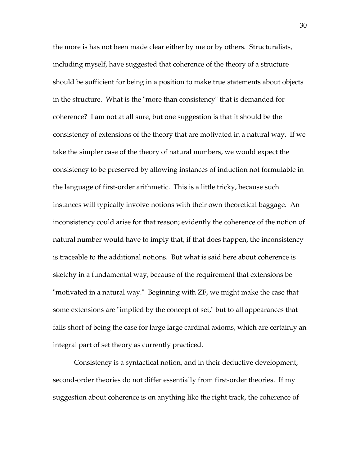the more is has not been made clear either by me or by others. Structuralists, including myself, have suggested that coherence of the theory of a structure should be sufficient for being in a position to make true statements about objects in the structure. What is the "more than consistency" that is demanded for coherence? I am not at all sure, but one suggestion is that it should be the consistency of extensions of the theory that are motivated in a natural way. If we take the simpler case of the theory of natural numbers, we would expect the consistency to be preserved by allowing instances of induction not formulable in the language of first-order arithmetic. This is a little tricky, because such instances will typically involve notions with their own theoretical baggage. An inconsistency could arise for that reason; evidently the coherence of the notion of natural number would have to imply that, if that does happen, the inconsistency is traceable to the additional notions. But what is said here about coherence is sketchy in a fundamental way, because of the requirement that extensions be "motivated in a natural way." Beginning with ZF, we might make the case that some extensions are "implied by the concept of set," but to all appearances that falls short of being the case for large large cardinal axioms, which are certainly an integral part of set theory as currently practiced.

Consistency is a syntactical notion, and in their deductive development, second-order theories do not differ essentially from first-order theories. If my suggestion about coherence is on anything like the right track, the coherence of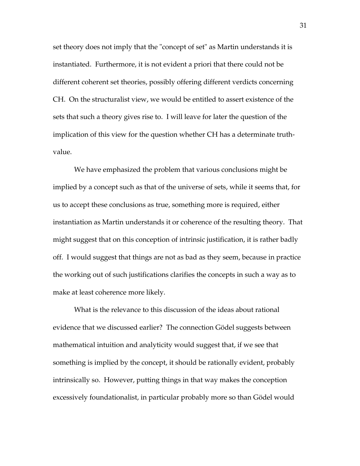set theory does not imply that the "concept of set" as Martin understands it is instantiated. Furthermore, it is not evident a priori that there could not be different coherent set theories, possibly offering different verdicts concerning CH. On the structuralist view, we would be entitled to assert existence of the sets that such a theory gives rise to. I will leave for later the question of the implication of this view for the question whether CH has a determinate truthvalue.

We have emphasized the problem that various conclusions might be implied by a concept such as that of the universe of sets, while it seems that, for us to accept these conclusions as true, something more is required, either instantiation as Martin understands it or coherence of the resulting theory. That might suggest that on this conception of intrinsic justification, it is rather badly off. I would suggest that things are not as bad as they seem, because in practice the working out of such justifications clarifies the concepts in such a way as to make at least coherence more likely.

What is the relevance to this discussion of the ideas about rational evidence that we discussed earlier? The connection Gödel suggests between mathematical intuition and analyticity would suggest that, if we see that something is implied by the concept, it should be rationally evident, probably intrinsically so. However, putting things in that way makes the conception excessively foundationalist, in particular probably more so than Gödel would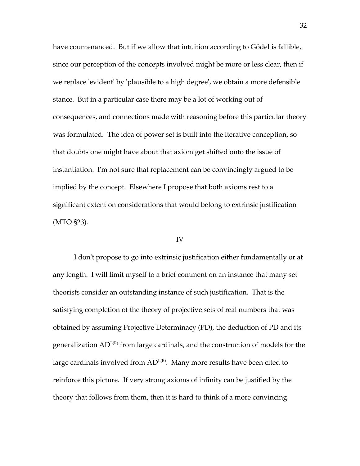have countenanced. But if we allow that intuition according to Gödel is fallible, since our perception of the concepts involved might be more or less clear, then if we replace 'evident' by 'plausible to a high degree', we obtain a more defensible stance. But in a particular case there may be a lot of working out of consequences, and connections made with reasoning before this particular theory was formulated. The idea of power set is built into the iterative conception, so that doubts one might have about that axiom get shifted onto the issue of instantiation. I'm not sure that replacement can be convincingly argued to be implied by the concept. Elsewhere I propose that both axioms rest to a significant extent on considerations that would belong to extrinsic justification (MTO §23).

#### IV

I don't propose to go into extrinsic justification either fundamentally or at any length. I will limit myself to a brief comment on an instance that many set theorists consider an outstanding instance of such justification. That is the satisfying completion of the theory of projective sets of real numbers that was obtained by assuming Projective Determinacy (PD), the deduction of PD and its generalization  $AD^{L(R)}$  from large cardinals, and the construction of models for the large cardinals involved from  $AD^{L(R)}$ . Many more results have been cited to reinforce this picture. If very strong axioms of infinity can be justified by the theory that follows from them, then it is hard to think of a more convincing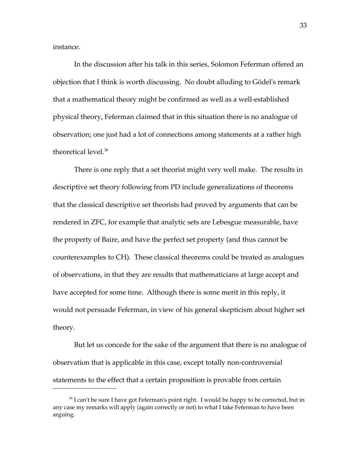instance.

In the discussion after his talk in this series, Solomon Feferman offered an objection that I think is worth discussing. No doubt alluding to Gödel's remark that a mathematical theory might be confirmed as well as a well-established physical theory, Feferman claimed that in this situation there is no analogue of observation; one just had a lot of connections among statements at a rather high theoretical level.<sup>[36](#page-32-0)</sup>

There is one reply that a set theorist might very well make. The results in descriptive set theory following from PD include generalizations of theorems that the classical descriptive set theorists had proved by arguments that can be rendered in ZFC, for example that analytic sets are Lebesgue measurable, have the property of Baire, and have the perfect set property (and thus cannot be counterexamples to CH). These classical theorems could be treated as analogues of observations, in that they are results that mathematicians at large accept and have accepted for some time. Although there is some merit in this reply, it would not persuade Feferman, in view of his general skepticism about higher set theory.

But let us concede for the sake of the argument that there is no analogue of observation that is applicable in this case, except totally non-controversial statements to the effect that a certain proposition is provable from certain

<span id="page-32-0"></span> $36$  I can't be sure I have got Feferman's point right. I would be happy to be corrected, but in any case my remarks will apply (again correctly or not) to what I take Feferman to have been arguing.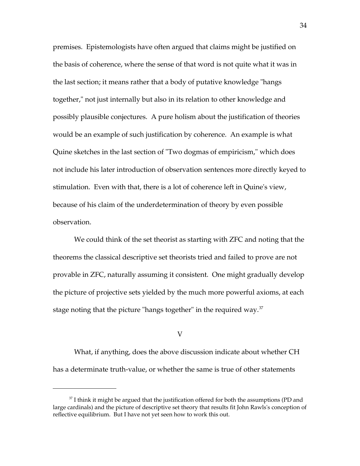premises. Epistemologists have often argued that claims might be justified on the basis of coherence, where the sense of that word is not quite what it was in the last section; it means rather that a body of putative knowledge "hangs together," not just internally but also in its relation to other knowledge and possibly plausible conjectures. A pure holism about the justification of theories would be an example of such justification by coherence. An example is what Quine sketches in the last section of "Two dogmas of empiricism," which does not include his later introduction of observation sentences more directly keyed to stimulation. Even with that, there is a lot of coherence left in Quine's view, because of his claim of the underdetermination of theory by even possible observation.

We could think of the set theorist as starting with ZFC and noting that the theorems the classical descriptive set theorists tried and failed to prove are not provable in ZFC, naturally assuming it consistent. One might gradually develop the picture of projective sets yielded by the much more powerful axioms, at each stage noting that the picture "hangs together" in the required way. $37$ 

## V

What, if anything, does the above discussion indicate about whether CH has a determinate truth-value, or whether the same is true of other statements

<span id="page-33-0"></span> $37$  I think it might be argued that the justification offered for both the assumptions (PD and large cardinals) and the picture of descriptive set theory that results fit John Rawls's conception of reflective equilibrium. But I have not yet seen how to work this out.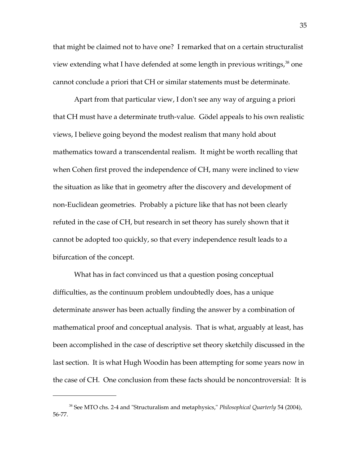that might be claimed not to have one? I remarked that on a certain structuralist view extending what I have defended at some length in previous writings,<sup>[38](#page-34-0)</sup> one cannot conclude a priori that CH or similar statements must be determinate.

Apart from that particular view, I don't see any way of arguing a priori that CH must have a determinate truth-value. Gödel appeals to his own realistic views, I believe going beyond the modest realism that many hold about mathematics toward a transcendental realism. It might be worth recalling that when Cohen first proved the independence of CH, many were inclined to view the situation as like that in geometry after the discovery and development of non-Euclidean geometries. Probably a picture like that has not been clearly refuted in the case of CH, but research in set theory has surely shown that it cannot be adopted too quickly, so that every independence result leads to a bifurcation of the concept.

What has in fact convinced us that a question posing conceptual difficulties, as the continuum problem undoubtedly does, has a unique determinate answer has been actually finding the answer by a combination of mathematical proof and conceptual analysis. That is what, arguably at least, has been accomplished in the case of descriptive set theory sketchily discussed in the last section. It is what Hugh Woodin has been attempting for some years now in the case of CH. One conclusion from these facts should be noncontroversial: It is

<span id="page-34-0"></span><sup>38</sup> See MTO chs. 2-4 and "Structuralism and metaphysics," *Philosophical Quarterly* 54 (2004), 56-77.